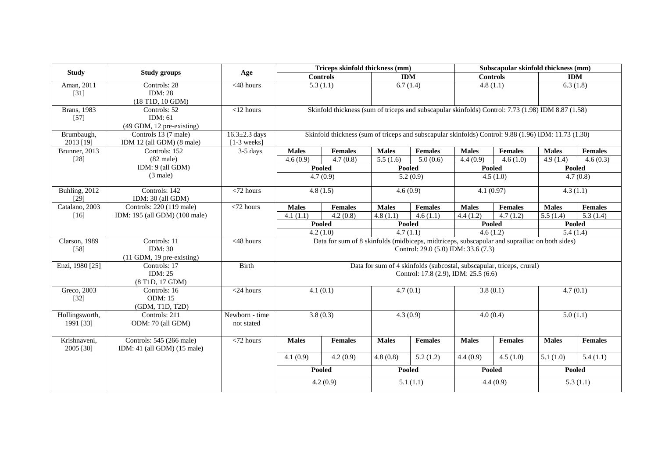| <b>Study</b>                  |                                                                      |                                      | Triceps skinfold thickness (mm)                                                                      |                                                                                               |              | Subscapular skinfold thickness (mm)  |              |                                                                       |                        |                        |
|-------------------------------|----------------------------------------------------------------------|--------------------------------------|------------------------------------------------------------------------------------------------------|-----------------------------------------------------------------------------------------------|--------------|--------------------------------------|--------------|-----------------------------------------------------------------------|------------------------|------------------------|
|                               | <b>Study groups</b>                                                  | Age                                  |                                                                                                      | <b>Controls</b>                                                                               |              | <b>IDM</b>                           |              | <b>Controls</b>                                                       |                        | <b>IDM</b>             |
| Aman, 2011<br>$[31]$          | Controls: 28<br><b>IDM: 28</b><br>$(18 \text{ T1D}, 10 \text{ GDM})$ | $<$ 48 hours                         |                                                                                                      | 5.3(1.1)                                                                                      |              | 6.7(1.4)                             |              | 4.8(1.1)                                                              |                        | 6.3(1.8)               |
| <b>Brans</b> , 1983<br>$[57]$ | Controls: 52<br>IDM: 61<br>$(49$ GDM, 12 pre-existing)               | $<$ 12 hours                         | Skinfold thickness (sum of triceps and subscapular skinfolds) Control: 7.73 (1.98) IDM 8.87 (1.58)   |                                                                                               |              |                                      |              |                                                                       |                        |                        |
| Brumbaugh,<br>2013 [19]       | Controls 13 (7 male)<br>IDM 12 (all GDM) (8 male)                    | $16.3 \pm 2.3$ days<br>$[1-3$ weeks] | Skinfold thickness (sum of triceps and subscapular skinfolds) Control: 9.88 (1.96) IDM: 11.73 (1.30) |                                                                                               |              |                                      |              |                                                                       |                        |                        |
| Brunner, 2013                 | Controls: 152                                                        | $3-5$ days                           | <b>Males</b>                                                                                         | <b>Females</b>                                                                                | <b>Males</b> | <b>Females</b>                       | <b>Males</b> | <b>Females</b>                                                        | <b>Males</b>           | <b>Females</b>         |
| $[28]$                        | $(82 \text{ male})$                                                  |                                      | 4.6(0.9)                                                                                             | 4.7(0.8)                                                                                      | 5.5(1.6)     | 5.0(0.6)                             | 4.4(0.9)     | 4.6(1.0)                                                              | 4.9(1.4)               | 4.6(0.3)               |
|                               | IDM: 9 (all GDM)                                                     |                                      |                                                                                                      | Pooled                                                                                        |              | <b>Pooled</b>                        |              | <b>Pooled</b>                                                         |                        | <b>Pooled</b>          |
|                               | $(3 \text{ male})$                                                   |                                      |                                                                                                      | 4.7(0.9)                                                                                      |              | 5.2(0.9)                             |              | 4.5(1.0)                                                              |                        | 4.7(0.8)               |
| Buhling, 2012<br>$[29]$       | Controls: 142<br>IDM: 30 (all GDM)                                   | $\sqrt{72}$ hours                    |                                                                                                      | 4.8(1.5)                                                                                      |              | 4.6(0.9)                             |              | 4.1(0.97)                                                             |                        | 4.3(1.1)               |
| Catalano, 2003                | Controls: 220 (119 male)                                             | $<$ 72 hours                         | <b>Males</b>                                                                                         | <b>Females</b>                                                                                | <b>Males</b> | Females                              | <b>Males</b> | <b>Females</b>                                                        | <b>Males</b>           | <b>Females</b>         |
| $[16]$                        | IDM: 195 (all GDM) (100 male)                                        |                                      | 4.1(1.1)                                                                                             | 4.2(0.8)                                                                                      | 4.8(1.1)     | 4.6(1.1)                             | 4.4(1.2)     | 4.7(1.2)                                                              | 5.5(1.4)               | 5.3(1.4)               |
|                               |                                                                      |                                      |                                                                                                      | <b>Pooled</b>                                                                                 |              | <b>Pooled</b>                        |              | Pooled                                                                |                        | <b>Pooled</b>          |
|                               |                                                                      |                                      |                                                                                                      | 4.2(1.0)                                                                                      |              | 4.7(1.1)                             |              | 4.6(1.2)                                                              |                        | 5.4(1.4)               |
| Clarson, 1989<br>$[58]$       | Controls: 11<br><b>IDM</b> : 30<br>$(11$ GDM, 19 pre-existing)       | $<$ 48 hours                         |                                                                                                      | Data for sum of 8 skinfolds (midbiceps, midtriceps, subscapular and suprailiac on both sides) |              | Control: 29.0 (5.0) IDM: 33.6 (7.3)  |              |                                                                       |                        |                        |
| Enzi, 1980 [25]               | Controls: 17<br>IDM: $25$<br>(8 T1D, 17 GDM)                         | <b>Birth</b>                         |                                                                                                      |                                                                                               |              | Control: 17.8 (2.9), IDM: 25.5 (6.6) |              | Data for sum of 4 skinfolds (subcostal, subscapular, triceps, crural) |                        |                        |
| Greco, 2003<br>$[32]$         | Controls: 16<br><b>ODM: 15</b><br>(GDM, T1D, T2D)                    | $<$ 24 hours                         |                                                                                                      | 4.1(0.1)                                                                                      |              | 4.7(0.1)<br>3.8(0.1)                 |              |                                                                       |                        | 4.7(0.1)               |
| Hollingsworth,<br>1991 [33]   | Controls: 211<br>ODM: 70 (all GDM)                                   | Newborn - time<br>not stated         |                                                                                                      | 3.8(0.3)                                                                                      |              | 4.3(0.9)                             |              | 4.0(0.4)                                                              |                        | 5.0(1.1)               |
| Krishnaveni,<br>2005 [30]     | Controls: 545 (266 male)<br>IDM: 41 (all GDM) (15 male)              | $<$ 72 hours                         | <b>Males</b>                                                                                         | <b>Females</b>                                                                                | <b>Males</b> | <b>Females</b>                       | <b>Males</b> | Females                                                               | <b>Males</b>           | <b>Females</b>         |
|                               |                                                                      |                                      | 4.1(0.9)                                                                                             | $\overline{4.2}$ (0.9)                                                                        | 4.8(0.8)     | 5.2(1.2)                             | 4.4(0.9)     | $\overline{4.5}$ (1.0)                                                | $\overline{5.1}$ (1.0) | $\overline{5.4}$ (1.1) |
|                               |                                                                      |                                      |                                                                                                      | Pooled                                                                                        |              | Pooled                               |              | Pooled                                                                |                        | Pooled                 |
|                               |                                                                      |                                      |                                                                                                      | 4.2(0.9)                                                                                      |              | 5.1(1.1)                             |              | 4.4(0.9)                                                              |                        | 5.3(1.1)               |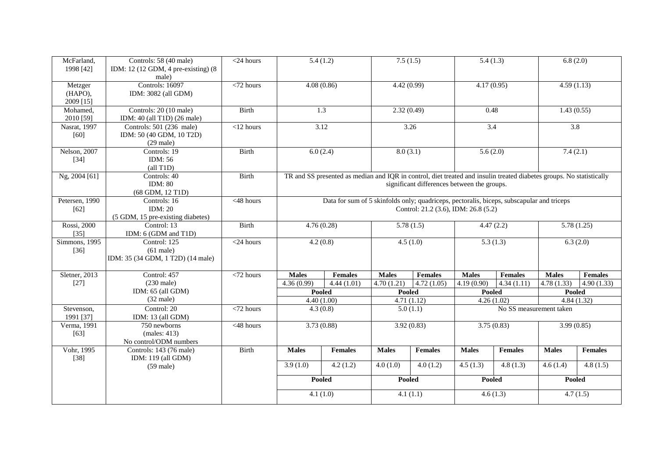| McFarland,<br>1998 [42]         | Controls: 58 (40 male)<br>IDM: 12 (12 GDM, 4 pre-existing) (8<br>male) | $\sqrt{24}$ hours      | $\overline{5.4(1.2)}$                                                                                                                                                                                                                                            |                | 7.5(1.5)      |                                      | 5.4(1.3)               |                         | 6.8(2.0)      |                |
|---------------------------------|------------------------------------------------------------------------|------------------------|------------------------------------------------------------------------------------------------------------------------------------------------------------------------------------------------------------------------------------------------------------------|----------------|---------------|--------------------------------------|------------------------|-------------------------|---------------|----------------|
| Metzger<br>(HAPO),<br>2009 [15] | <b>Controls: 16097</b><br>IDM: 3082 (all GDM)                          | $<$ 72 hours           | 4.08(0.86)                                                                                                                                                                                                                                                       |                | 4.42(0.99)    |                                      | 4.17(0.95)             |                         | 4.59(1.13)    |                |
| Mohamed,<br>2010 [59]           | Controls: 20 (10 male)<br>IDM: 40 (all T1D) (26 male)                  | Birth                  |                                                                                                                                                                                                                                                                  | 1.3            | 2.32(0.49)    |                                      | 0.48                   |                         | 1.43(0.55)    |                |
| Nasrat, 1997<br>$[60]$          | Controls: 501 (236 male)<br>IDM: 50 (40 GDM, 10 T2D)<br>$(29$ male)    | $<$ 12 hours           |                                                                                                                                                                                                                                                                  | 3.12           |               | 3.26                                 | $\overline{3.4}$       |                         | 3.8           |                |
| Nelson, 2007<br>$[34]$          | Controls: 19<br>IDM: 56<br>$\text{(all T1D)}$                          | Birth                  | 6.0(2.4)                                                                                                                                                                                                                                                         |                | 8.0(3.1)      |                                      | 5.6(2.0)               |                         | 7.4(2.1)      |                |
| Ng, 2004 [61]                   | Controls: 40<br>IDM: $80$<br>(68 GDM, 12 T1D)                          | Birth                  | TR and SS presented as median and IQR in control, diet treated and insulin treated diabetes groups. No statistically<br>significant differences between the groups.<br>Data for sum of 5 skinfolds only; quadriceps, pectoralis, biceps, subscapular and triceps |                |               |                                      |                        |                         |               |                |
| Petersen, 1990<br>$[62]$        | Controls: 16<br>IDM: 20<br>(5 GDM, 15 pre-existing diabetes)           | $<$ 48 hours           |                                                                                                                                                                                                                                                                  |                |               | Control: 21.2 (3.6), IDM: 26.8 (5.2) |                        |                         |               |                |
| Rossi, 2000<br>$[35]$           | Control: 13<br>IDM: 6 (GDM and T1D)                                    | <b>Birth</b>           |                                                                                                                                                                                                                                                                  | 4.76(0.28)     |               | 5.78(1.5)                            | 4.47(2.2)              |                         |               | 5.78(1.25)     |
| Simmons, 1995<br>$[36]$         | Control: 125<br>$(61$ male)<br>IDM: 35 (34 GDM, 1 T2D) (14 male)       | $<$ 24 hours           | 4.2(0.8)                                                                                                                                                                                                                                                         |                |               | 4.5(1.0)                             | 5.3(1.3)               |                         |               | 6.3(2.0)       |
| Sletner, 2013                   | Control: 457                                                           | $\overline{z}$ hours   | <b>Males</b>                                                                                                                                                                                                                                                     | <b>Females</b> | <b>Males</b>  | Females                              | <b>Males</b>           | <b>Females</b>          | <b>Males</b>  | <b>Females</b> |
| $[27]$                          | $(230 \text{ male})$                                                   |                        | 4.36(0.99)                                                                                                                                                                                                                                                       | 4.44(1.01)     | 4.70(1.21)    | 4.72(1.05)                           | 4.19(0.90)             | 4.34(1.11)              | 4.78(1.33)    | 4.90(1.33)     |
|                                 | IDM: 65 (all GDM)                                                      |                        | <b>Pooled</b>                                                                                                                                                                                                                                                    |                | Pooled        |                                      | Pooled                 |                         | Pooled        |                |
|                                 | $(32 \text{ male})$                                                    |                        | 4.40(1.00)                                                                                                                                                                                                                                                       |                | 4.71(1.12)    |                                      | 4.26(1.02)             |                         | 4.84(1.32)    |                |
| Stevenson,<br>1991 [37]         | Control: 20<br>IDM: 13 (all GDM)                                       | $<$ 72 hours           | 4.3(0.8)                                                                                                                                                                                                                                                         |                |               | 5.0(1.1)                             |                        | No SS measurement taken |               |                |
| Verma, 1991<br>$[63]$           | 750 newborns<br>(males: 413)<br>No control/ODM numbers                 | $\overline{<}48$ hours | 3.73(0.88)                                                                                                                                                                                                                                                       |                |               | 3.92(0.83)                           | 3.75(0.83)             |                         | 3.99(0.85)    |                |
| Vohr, 1995<br>$[38]$            | Controls: 143 (76 male)<br>IDM: 119 (all GDM)                          | <b>Birth</b>           | <b>Males</b>                                                                                                                                                                                                                                                     | <b>Females</b> | <b>Males</b>  | <b>Females</b>                       | <b>Males</b>           | <b>Females</b>          | <b>Males</b>  | <b>Females</b> |
|                                 | $(59 \text{ male})$                                                    |                        | 3.9(1.0)                                                                                                                                                                                                                                                         | 4.2(1.2)       | 4.0(1.0)      | 4.0(1.2)                             | 4.5(1.3)               | 4.8(1.3)                | 4.6(1.4)      | 4.8(1.5)       |
|                                 |                                                                        |                        | Pooled                                                                                                                                                                                                                                                           |                | <b>Pooled</b> |                                      | <b>Pooled</b>          |                         | <b>Pooled</b> |                |
|                                 |                                                                        |                        | $\overline{4.1(1.0)}$                                                                                                                                                                                                                                            |                |               | $\overline{4.1(1.1)}$                | $\overline{4.6}$ (1.3) |                         |               | 4.7(1.5)       |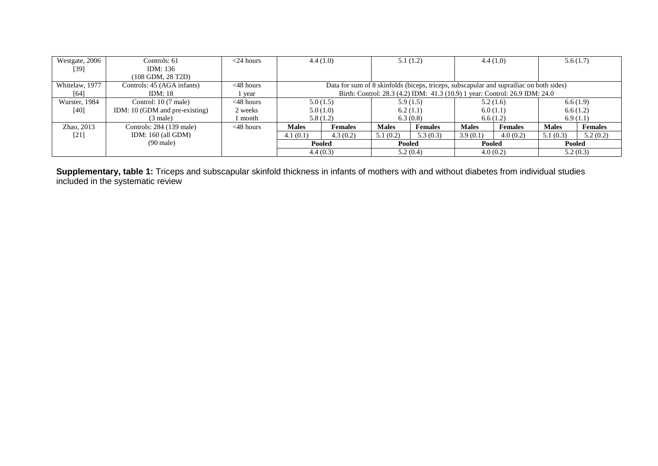| Westgate, 2006 | Controls: 61                   | $<$ 24 hours |                                                                                         | 4.4(1.0)                                                                    |              | 5.1(1.2)       |              | 4.4(1.0)       |              | 5.6(1.7)       |
|----------------|--------------------------------|--------------|-----------------------------------------------------------------------------------------|-----------------------------------------------------------------------------|--------------|----------------|--------------|----------------|--------------|----------------|
| [39]           | IDM: $136$                     |              |                                                                                         |                                                                             |              |                |              |                |              |                |
|                | (108 GDM, 28 T2D)              |              |                                                                                         |                                                                             |              |                |              |                |              |                |
| Whitelaw, 1977 | Controls: 45 (AGA infants)     | $<48$ hours  | Data for sum of 8 skinfolds (biceps, triceps, subscapular and suprailiac on both sides) |                                                                             |              |                |              |                |              |                |
| $[64]$         | IDM: 18                        | year         |                                                                                         | Birth: Control: 28.3 (4.2) IDM: 41.3 (10.9) 1 year: Control: 26.9 IDM: 24.0 |              |                |              |                |              |                |
| Wurster, 1984  | Control: 10 (7 male)           | $<48$ hours  |                                                                                         | 5.0(1.5)                                                                    |              | 5.9(1.5)       |              | 5.2(1.6)       |              | 6.6(1.9)       |
| $[40]$         | IDM: 10 (GDM and pre-existing) | 2 weeks      |                                                                                         | 5.0(1.0)                                                                    |              | 6.2(1.1)       |              | 6.0(1.1)       |              | 6.6(1.2)       |
|                | $(3 \text{ male})$             | month        |                                                                                         | 5.8(1.2)                                                                    |              | 6.3(0.8)       |              | 6.6(1.2)       |              | 6.9(1.1)       |
| Zhao, 2013     | Controls: 284 (139 male)       | $<48$ hours  | <b>Males</b>                                                                            | <b>Females</b>                                                              | <b>Males</b> | <b>Females</b> | <b>Males</b> | <b>Females</b> | <b>Males</b> | <b>Females</b> |
| [21]           | IDM: $160$ (all GDM)           |              | 4.1(0.1)                                                                                | 4.3(0.2)                                                                    | 5.1(0.2)     | 5.3(0.3)       | 3.9(0.1)     | 4.0(0.2)       | 5.1(0.3)     | 5.2(0.2)       |
|                | $(90 \text{ male})$            |              |                                                                                         | Pooled                                                                      | Pooled       |                | Pooled       |                | Pooled       |                |
|                |                                |              |                                                                                         | 4.4(0.3)                                                                    |              | 5.2(0.4)       |              | 4.0(0.2)       |              | 5.2(0.3)       |

**Supplementary, table 1:** Triceps and subscapular skinfold thickness in infants of mothers with and without diabetes from individual studies included in the systematic review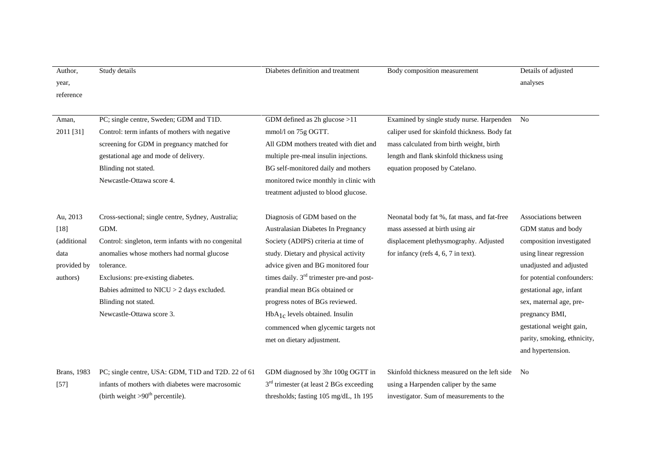| Author.<br>year,                                                     | Study details                                                                                                                                                                                                                                                                                                          | Diabetes definition and treatment                                                                                                                                                                                                                                                                                                                                                                                             | Body composition measurement                                                                                                                                                                                          | Details of adjusted<br>analyses                                                                                                                                                                                                                                                                                     |
|----------------------------------------------------------------------|------------------------------------------------------------------------------------------------------------------------------------------------------------------------------------------------------------------------------------------------------------------------------------------------------------------------|-------------------------------------------------------------------------------------------------------------------------------------------------------------------------------------------------------------------------------------------------------------------------------------------------------------------------------------------------------------------------------------------------------------------------------|-----------------------------------------------------------------------------------------------------------------------------------------------------------------------------------------------------------------------|---------------------------------------------------------------------------------------------------------------------------------------------------------------------------------------------------------------------------------------------------------------------------------------------------------------------|
| reference                                                            |                                                                                                                                                                                                                                                                                                                        |                                                                                                                                                                                                                                                                                                                                                                                                                               |                                                                                                                                                                                                                       |                                                                                                                                                                                                                                                                                                                     |
| Aman,<br>2011 [31]                                                   | PC; single centre, Sweden; GDM and T1D.<br>Control: term infants of mothers with negative<br>screening for GDM in pregnancy matched for<br>gestational age and mode of delivery.<br>Blinding not stated.<br>Newcastle-Ottawa score 4.                                                                                  | GDM defined as $2h$ glucose $>11$<br>mmol/l on 75g OGTT.<br>All GDM mothers treated with diet and<br>multiple pre-meal insulin injections.<br>BG self-monitored daily and mothers<br>monitored twice monthly in clinic with<br>treatment adjusted to blood glucose.                                                                                                                                                           | Examined by single study nurse. Harpenden<br>caliper used for skinfold thickness. Body fat<br>mass calculated from birth weight, birth<br>length and flank skinfold thickness using<br>equation proposed by Catelano. | $\mathbf{N}\mathbf{o}$                                                                                                                                                                                                                                                                                              |
| Au, 2013<br>$[18]$<br>(additional<br>data<br>provided by<br>authors) | Cross-sectional; single centre, Sydney, Australia;<br>GDM.<br>Control: singleton, term infants with no congenital<br>anomalies whose mothers had normal glucose<br>tolerance.<br>Exclusions: pre-existing diabetes.<br>Babies admitted to NICU > 2 days excluded.<br>Blinding not stated.<br>Newcastle-Ottawa score 3. | Diagnosis of GDM based on the<br>Australasian Diabetes In Pregnancy<br>Society (ADIPS) criteria at time of<br>study. Dietary and physical activity<br>advice given and BG monitored four<br>times daily. 3 <sup>rd</sup> trimester pre-and post-<br>prandial mean BGs obtained or<br>progress notes of BGs reviewed.<br>$HbA1c$ levels obtained. Insulin<br>commenced when glycemic targets not<br>met on dietary adjustment. | Neonatal body fat %, fat mass, and fat-free<br>mass assessed at birth using air<br>displacement plethysmography. Adjusted<br>for infancy (refs 4, 6, 7 in text).                                                      | Associations between<br>GDM status and body<br>composition investigated<br>using linear regression<br>unadjusted and adjusted<br>for potential confounders:<br>gestational age, infant<br>sex, maternal age, pre-<br>pregnancy BMI,<br>gestational weight gain,<br>parity, smoking, ethnicity,<br>and hypertension. |
| Brans, 1983<br>$[57]$                                                | PC; single centre, USA: GDM, T1D and T2D. 22 of 61<br>infants of mothers with diabetes were macrosomic<br>(birth weight $>90^{th}$ percentile).                                                                                                                                                                        | GDM diagnosed by 3hr 100g OGTT in<br>3 <sup>rd</sup> trimester (at least 2 BGs exceeding<br>thresholds; fasting 105 mg/dL, 1h 195                                                                                                                                                                                                                                                                                             | Skinfold thickness measured on the left side<br>using a Harpenden caliper by the same<br>investigator. Sum of measurements to the                                                                                     | N <sub>o</sub>                                                                                                                                                                                                                                                                                                      |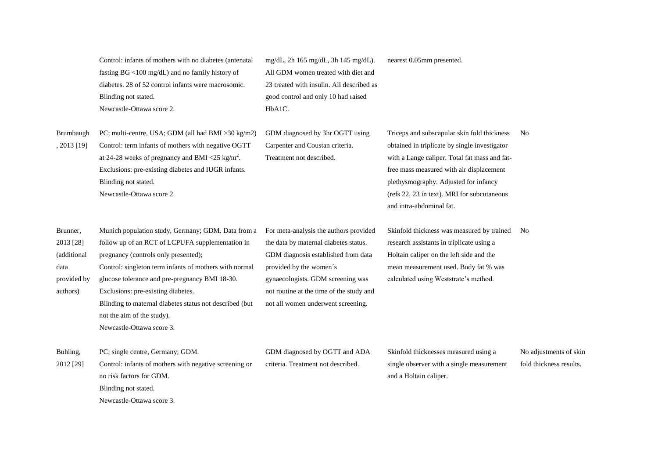Control: infants of mothers with no diabetes (antenatal fasting BG <100 mg/dL) and no family history of diabetes. 28 of 52 control infants were macrosomic. Blinding not stated. Newcastle-Ottawa score 2.

mg/dL, 2h 165 mg/dL, 3h 145 mg/dL). All GDM women treated with diet and 23 treated with insulin. All described as good control and only 10 had raised HbA1C. nearest 0.05mm presented.

Brumbaugh , 2013 [19] PC; multi-centre, USA; GDM (all had BMI >30 kg/m2) Control: term infants of mothers with negative OGTT at 24-28 weeks of pregnancy and BMI  $\langle 25 \text{ kg/m}^2 \rangle$ . Exclusions: pre-existing diabetes and IUGR infants. Blinding not stated. Newcastle-Ottawa score 2. GDM diagnosed by 3hr OGTT using Carpenter and Coustan criteria. Treatment not described.

Triceps and subscapular skin fold thickness obtained in triplicate by single investigator with a Lange caliper. Total fat mass and fatfree mass measured with air displacement plethysmography. Adjusted for infancy (refs 22, 23 in text). MRI for subcutaneous and intra-abdominal fat. No

Brunner, 2013 [28] (additional data provided by authors) Munich population study, Germany; GDM. Data from a follow up of an RCT of LCPUFA supplementation in pregnancy (controls only presented); Control: singleton term infants of mothers with normal glucose tolerance and pre-pregnancy BMI 18-30. Exclusions: pre-existing diabetes. Blinding to maternal diabetes status not described (but not the aim of the study). Newcastle-Ottawa score 3. For meta-analysis the authors provided the data by maternal diabetes status. GDM diagnosis established from data provided by the women´s gynaecologists. GDM screening was not routine at the time of the study and not all women underwent screening.

Skinfold thickness was measured by trained No research assistants in triplicate using a Holtain caliper on the left side and the mean measurement used. Body fat % was calculated using Weststrate's method.

Buhling, 2012 [29] PC; single centre, Germany; GDM. Control: infants of mothers with negative screening or no risk factors for GDM.

Blinding not stated.

Newcastle-Ottawa score 3.

GDM diagnosed by OGTT and ADA criteria. Treatment not described.

Skinfold thicknesses measured using a single observer with a single measurement and a Holtain caliper.

No adjustments of skin fold thickness results.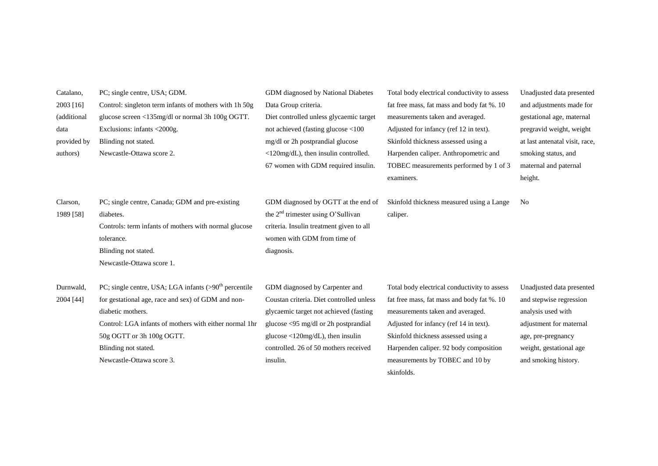| Catalano,   | PC; single centre, USA; GDM.                            | GDM diagnosed by National Diabetes                        | Total body electrical conductivity to assess | Unadjusted data presented      |
|-------------|---------------------------------------------------------|-----------------------------------------------------------|----------------------------------------------|--------------------------------|
| 2003 [16]   | Control: singleton term infants of mothers with 1h 50g  | Data Group criteria.                                      | fat free mass, fat mass and body fat %. 10   | and adjustments made for       |
| (additional | glucose screen <135mg/dl or normal 3h 100g OGTT.        | Diet controlled unless glycaemic target                   | measurements taken and averaged.             | gestational age, maternal      |
| data        | Exclusions: infants <2000g.                             | not achieved (fasting glucose <100                        | Adjusted for infancy (ref 12 in text).       | pregravid weight, weight       |
| provided by | Blinding not stated.                                    | mg/dl or 2h postprandial glucose                          | Skinfold thickness assessed using a          | at last antenatal visit, race, |
| authors)    | Newcastle-Ottawa score 2.                               | <120mg/dL), then insulin controlled.                      | Harpenden caliper. Anthropometric and        | smoking status, and            |
|             |                                                         | 67 women with GDM required insulin.                       | TOBEC measurements performed by 1 of 3       | maternal and paternal          |
|             |                                                         |                                                           | examiners.                                   | height.                        |
|             |                                                         |                                                           |                                              |                                |
| Clarson,    | PC; single centre, Canada; GDM and pre-existing         | GDM diagnosed by OGTT at the end of                       | Skinfold thickness measured using a Lange    | N <sub>0</sub>                 |
| 1989 [58]   | diabetes.                                               | the $2nd$ trimester using O'Sullivan                      | caliper.                                     |                                |
|             | Controls: term infants of mothers with normal glucose   | criteria. Insulin treatment given to all                  |                                              |                                |
|             | tolerance.                                              | women with GDM from time of                               |                                              |                                |
|             | Blinding not stated.                                    | diagnosis.                                                |                                              |                                |
|             | Newcastle-Ottawa score 1.                               |                                                           |                                              |                                |
|             |                                                         |                                                           |                                              |                                |
| Durnwald,   | PC; single centre, USA; LGA infants $(>90th$ percentile | GDM diagnosed by Carpenter and                            | Total body electrical conductivity to assess | Unadjusted data presented      |
| 2004 [44]   | for gestational age, race and sex) of GDM and non-      | Coustan criteria. Diet controlled unless                  | fat free mass, fat mass and body fat %. 10   | and stepwise regression        |
|             | diabetic mothers.                                       | glycaemic target not achieved (fasting)                   | measurements taken and averaged.             | analysis used with             |
|             | Control: LGA infants of mothers with either normal 1hr  | glucose $\langle$ 95 mg/dl or 2h postprandial             | Adjusted for infancy (ref 14 in text).       | adjustment for maternal        |
|             | 50g OGTT or 3h 100g OGTT.                               | glucose $\langle 120 \text{mg/dL} \rangle$ , then insulin | Skinfold thickness assessed using a          | age, pre-pregnancy             |
|             | Blinding not stated.                                    | controlled. 26 of 50 mothers received                     | Harpenden caliper. 92 body composition       | weight, gestational age        |
|             | Newcastle-Ottawa score 3.                               | insulin.                                                  | measurements by TOBEC and 10 by              | and smoking history.           |

skinfolds.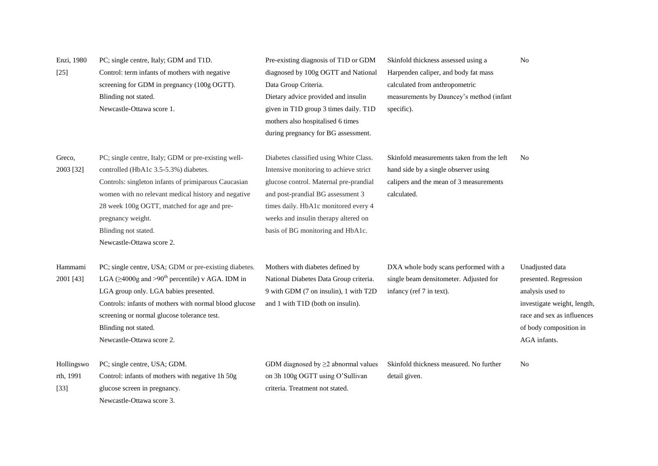| Enzi, 1980<br>$[25]$              | PC; single centre, Italy; GDM and T1D.<br>Control: term infants of mothers with negative<br>screening for GDM in pregnancy (100g OGTT).<br>Blinding not stated.<br>Newcastle-Ottawa score 1.                                                                                                                                         | Pre-existing diagnosis of T1D or GDM<br>diagnosed by 100g OGTT and National<br>Data Group Criteria.<br>Dietary advice provided and insulin<br>given in T1D group 3 times daily. T1D<br>mothers also hospitalised 6 times                                                                                                    | Skinfold thickness assessed using a<br>Harpenden caliper, and body fat mass<br>calculated from anthropometric<br>measurements by Dauncey's method (infant<br>specific). | No                                                                                                                                                                  |
|-----------------------------------|--------------------------------------------------------------------------------------------------------------------------------------------------------------------------------------------------------------------------------------------------------------------------------------------------------------------------------------|-----------------------------------------------------------------------------------------------------------------------------------------------------------------------------------------------------------------------------------------------------------------------------------------------------------------------------|-------------------------------------------------------------------------------------------------------------------------------------------------------------------------|---------------------------------------------------------------------------------------------------------------------------------------------------------------------|
| Greco,<br>2003 [32]               | PC; single centre, Italy; GDM or pre-existing well-<br>controlled (HbA1c 3.5-5.3%) diabetes.<br>Controls: singleton infants of primiparous Caucasian<br>women with no relevant medical history and negative<br>28 week 100g OGTT, matched for age and pre-<br>pregnancy weight.<br>Blinding not stated.<br>Newcastle-Ottawa score 2. | during pregnancy for BG assessment.<br>Diabetes classified using White Class.<br>Intensive monitoring to achieve strict<br>glucose control. Maternal pre-prandial<br>and post-prandial BG assessment 3<br>times daily. HbA1c monitored every 4<br>weeks and insulin therapy altered on<br>basis of BG monitoring and HbA1c. | Skinfold measurements taken from the left<br>hand side by a single observer using<br>calipers and the mean of 3 measurements<br>calculated.                             | N <sub>0</sub>                                                                                                                                                      |
| Hammami<br>2001 [43]              | PC; single centre, USA; GDM or pre-existing diabetes.<br>LGA ( $\geq$ 4000g and >90 <sup>th</sup> percentile) v AGA. IDM in<br>LGA group only. LGA babies presented.<br>Controls: infants of mothers with normal blood glucose<br>screening or normal glucose tolerance test.<br>Blinding not stated.<br>Newcastle-Ottawa score 2.   | Mothers with diabetes defined by<br>National Diabetes Data Group criteria.<br>9 with GDM (7 on insulin), 1 with T2D<br>and 1 with T1D (both on insulin).                                                                                                                                                                    | DXA whole body scans performed with a<br>single beam densitometer. Adjusted for<br>infancy (ref 7 in text).                                                             | Unadjusted data<br>presented. Regression<br>analysis used to<br>investigate weight, length,<br>race and sex as influences<br>of body composition in<br>AGA infants. |
| Hollingswo<br>rth, 1991<br>$[33]$ | PC; single centre, USA; GDM.<br>Control: infants of mothers with negative 1h 50g<br>glucose screen in pregnancy.<br>Newcastle-Ottawa score 3.                                                                                                                                                                                        | GDM diagnosed by $\geq$ 2 abnormal values<br>on 3h 100g OGTT using O'Sullivan<br>criteria. Treatment not stated.                                                                                                                                                                                                            | Skinfold thickness measured. No further<br>detail given.                                                                                                                | No                                                                                                                                                                  |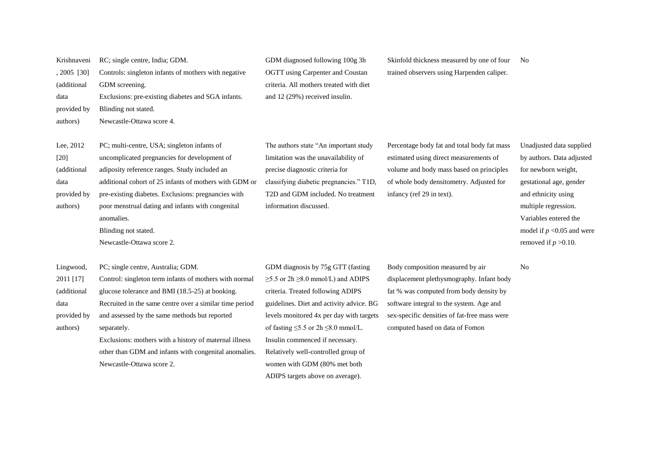| Krishnaveni | RC; single centre, India; GDM.                          | GDM diagnosed following 100g 3h                | Skinfold thickness measured by one of four   | N <sub>o</sub>               |
|-------------|---------------------------------------------------------|------------------------------------------------|----------------------------------------------|------------------------------|
| , 2005 [30] | Controls: singleton infants of mothers with negative    | OGTT using Carpenter and Coustan               | trained observers using Harpenden caliper.   |                              |
| (additional | GDM screening.                                          | criteria. All mothers treated with diet        |                                              |                              |
| data        | Exclusions: pre-existing diabetes and SGA infants.      | and 12 (29%) received insulin.                 |                                              |                              |
| provided by | Blinding not stated.                                    |                                                |                                              |                              |
| authors)    | Newcastle-Ottawa score 4.                               |                                                |                                              |                              |
|             |                                                         |                                                |                                              |                              |
| Lee, 2012   | PC; multi-centre, USA; singleton infants of             | The authors state "An important study          | Percentage body fat and total body fat mass  | Unadjusted data supplied     |
| $[20]$      | uncomplicated pregnancies for development of            | limitation was the unavailability of           | estimated using direct measurements of       | by authors. Data adjusted    |
| (additional | adiposity reference ranges. Study included an           | precise diagnostic criteria for                | volume and body mass based on principles     | for newborn weight,          |
| data        | additional cohort of 25 infants of mothers with GDM or  | classifying diabetic pregnancies." T1D,        | of whole body densitometry. Adjusted for     | gestational age, gender      |
| provided by | pre-existing diabetes. Exclusions: pregnancies with     | T2D and GDM included. No treatment             | infancy (ref 29 in text).                    | and ethnicity using          |
| authors)    | poor menstrual dating and infants with congenital       | information discussed.                         |                                              | multiple regression.         |
|             | anomalies.                                              |                                                |                                              | Variables entered the        |
|             | Blinding not stated.                                    |                                                |                                              | model if $p < 0.05$ and were |
|             | Newcastle-Ottawa score 2.                               |                                                |                                              | removed if $p > 0.10$ .      |
|             |                                                         |                                                |                                              |                              |
| Lingwood,   | PC; single centre, Australia; GDM.                      | GDM diagnosis by 75g GTT (fasting              | Body composition measured by air             | N <sub>0</sub>               |
| 2011 [17]   | Control: singleton term infants of mothers with normal  | $\geq$ 5.5 or 2h $\geq$ 8.0 mmol/L) and ADIPS  | displacement plethysmography. Infant body    |                              |
| (additional | glucose tolerance and BMI (18.5-25) at booking.         | criteria. Treated following ADIPS              | fat % was computed from body density by      |                              |
| data        | Recruited in the same centre over a similar time period | guidelines. Diet and activity advice. BG       | software integral to the system. Age and     |                              |
| provided by | and assessed by the same methods but reported           | levels monitored 4x per day with targets       | sex-specific densities of fat-free mass were |                              |
| authors)    | separately.                                             | of fasting $\leq$ 5.5 or 2h $\leq$ 8.0 mmol/L. | computed based on data of Fomon              |                              |
|             | Exclusions: mothers with a history of maternal illness  | Insulin commenced if necessary.                |                                              |                              |
|             | other than GDM and infants with congenital anomalies.   | Relatively well-controlled group of            |                                              |                              |
|             | Newcastle-Ottawa score 2.                               | women with GDM (80% met both                   |                                              |                              |
|             |                                                         | ADIPS targets above on average).               |                                              |                              |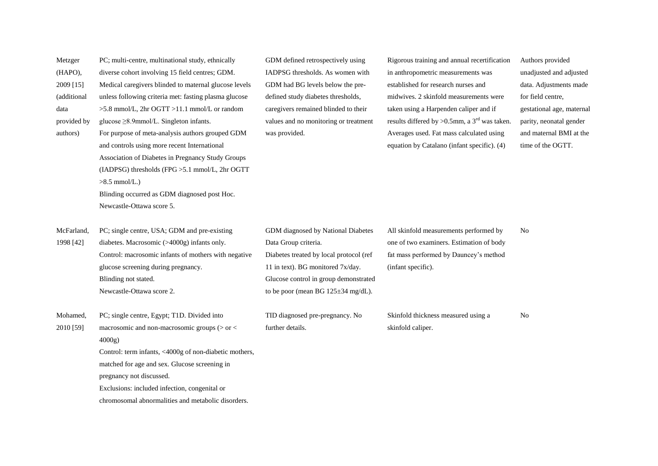| Metzger     | PC; multi-centre, multinational study, ethnically      | GDM defined retrospectively using       | Rigorous training and annual recertification   | Authors provided          |
|-------------|--------------------------------------------------------|-----------------------------------------|------------------------------------------------|---------------------------|
| (HAPO),     | diverse cohort involving 15 field centres; GDM.        | IADPSG thresholds. As women with        | in anthropometric measurements was             | unadjusted and adjusted   |
| 2009 [15]   | Medical caregivers blinded to maternal glucose levels  | GDM had BG levels below the pre-        | established for research nurses and            | data. Adjustments made    |
| (additional | unless following criteria met: fasting plasma glucose  | defined study diabetes thresholds,      | midwives. 2 skinfold measurements were         | for field centre,         |
| data        | >5.8 mmol/L, 2hr OGTT >11.1 mmol/L or random           | caregivers remained blinded to their    | taken using a Harpenden caliper and if         | gestational age, maternal |
| provided by | glucose $\geq$ 8.9mmol/L. Singleton infants.           | values and no monitoring or treatment   | results differed by >0.5mm, a $3rd$ was taken. | parity, neonatal gender   |
| authors)    | For purpose of meta-analysis authors grouped GDM       | was provided.                           | Averages used. Fat mass calculated using       | and maternal BMI at the   |
|             | and controls using more recent International           |                                         | equation by Catalano (infant specific). (4)    | time of the OGTT.         |
|             | Association of Diabetes in Pregnancy Study Groups      |                                         |                                                |                           |
|             | (IADPSG) thresholds (FPG >5.1 mmol/L, 2hr OGTT         |                                         |                                                |                           |
|             | $>8.5$ mmol/L.)                                        |                                         |                                                |                           |
|             | Blinding occurred as GDM diagnosed post Hoc.           |                                         |                                                |                           |
|             | Newcastle-Ottawa score 5.                              |                                         |                                                |                           |
|             |                                                        |                                         |                                                |                           |
| McFarland,  | PC; single centre, USA; GDM and pre-existing           | GDM diagnosed by National Diabetes      | All skinfold measurements performed by         | N <sub>0</sub>            |
| 1998 [42]   | diabetes. Macrosomic (>4000g) infants only.            | Data Group criteria.                    | one of two examiners. Estimation of body       |                           |
|             | Control: macrosomic infants of mothers with negative   | Diabetes treated by local protocol (ref | fat mass performed by Dauncey's method         |                           |
|             | glucose screening during pregnancy.                    | 11 in text). BG monitored 7x/day.       | (infant specific).                             |                           |
|             | Blinding not stated.                                   | Glucose control in group demonstrated   |                                                |                           |
|             | Newcastle-Ottawa score 2.                              | to be poor (mean BG $125\pm34$ mg/dL).  |                                                |                           |
|             |                                                        |                                         |                                                |                           |
| Mohamed,    | PC; single centre, Egypt; T1D. Divided into            | TID diagnosed pre-pregnancy. No         | Skinfold thickness measured using a            | No                        |
| 2010 [59]   | macrosomic and non-macrosomic groups (> or <           | further details.                        | skinfold caliper.                              |                           |
|             | 4000g                                                  |                                         |                                                |                           |
|             | Control: term infants, <4000g of non-diabetic mothers, |                                         |                                                |                           |
|             | matched for age and sex. Glucose screening in          |                                         |                                                |                           |
|             | pregnancy not discussed.                               |                                         |                                                |                           |
|             | Exclusions: included infection, congenital or          |                                         |                                                |                           |
|             | chromosomal abnormalities and metabolic disorders.     |                                         |                                                |                           |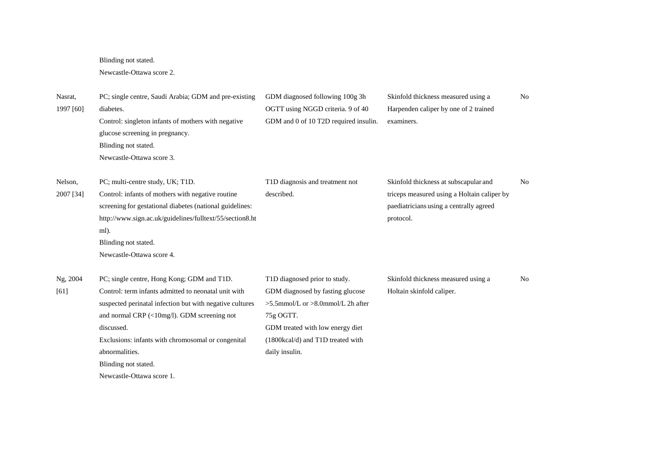Blinding not stated.

## Newcastle-Ottawa score 2.

| Nasrat,<br>1997 [60] | PC; single centre, Saudi Arabia; GDM and pre-existing<br>diabetes.<br>Control: singleton infants of mothers with negative<br>glucose screening in pregnancy.                                                                                                                                                                                             | GDM diagnosed following 100g 3h<br>OGTT using NGGD criteria. 9 of 40<br>GDM and 0 of 10 T2D required insulin.                                                                                                        | Skinfold thickness measured using a<br>Harpenden caliper by one of 2 trained<br>examiners.                                                   | N <sub>0</sub> |
|----------------------|----------------------------------------------------------------------------------------------------------------------------------------------------------------------------------------------------------------------------------------------------------------------------------------------------------------------------------------------------------|----------------------------------------------------------------------------------------------------------------------------------------------------------------------------------------------------------------------|----------------------------------------------------------------------------------------------------------------------------------------------|----------------|
|                      | Blinding not stated.<br>Newcastle-Ottawa score 3.                                                                                                                                                                                                                                                                                                        |                                                                                                                                                                                                                      |                                                                                                                                              |                |
| Nelson,<br>2007 [34] | PC; multi-centre study, UK; T1D.<br>Control: infants of mothers with negative routine<br>screening for gestational diabetes (national guidelines:<br>http://www.sign.ac.uk/guidelines/fulltext/55/section8.ht<br>ml).<br>Blinding not stated.<br>Newcastle-Ottawa score 4.                                                                               | T1D diagnosis and treatment not<br>described.                                                                                                                                                                        | Skinfold thickness at subscapular and<br>triceps measured using a Holtain caliper by<br>paediatricians using a centrally agreed<br>protocol. | N <sub>o</sub> |
| Ng, 2004<br>[61]     | PC; single centre, Hong Kong; GDM and T1D.<br>Control: term infants admitted to neonatal unit with<br>suspected perinatal infection but with negative cultures<br>and normal CRP (<10mg/l). GDM screening not<br>discussed.<br>Exclusions: infants with chromosomal or congenital<br>abnormalities.<br>Blinding not stated.<br>Newcastle-Ottawa score 1. | T1D diagnosed prior to study.<br>GDM diagnosed by fasting glucose<br>$>5.5$ mmol/L or $>8.0$ mmol/L 2h after<br>75g OGTT.<br>GDM treated with low energy diet<br>(1800kcal/d) and T1D treated with<br>daily insulin. | Skinfold thickness measured using a<br>Holtain skinfold caliper.                                                                             | N <sub>o</sub> |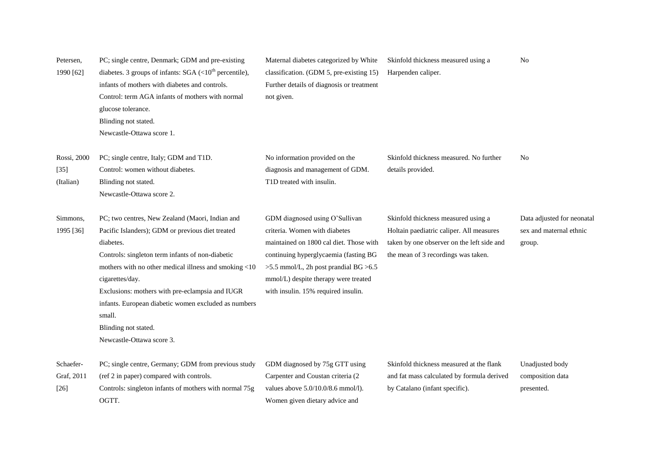| Petersen,<br>1990 [62]             | PC; single centre, Denmark; GDM and pre-existing<br>diabetes. 3 groups of infants: $SGA$ (<10 <sup>th</sup> percentile),<br>infants of mothers with diabetes and controls.<br>Control: term AGA infants of mothers with normal<br>glucose tolerance.<br>Blinding not stated.<br>Newcastle-Ottawa score 1.                                                                                                                  | Maternal diabetes categorized by White<br>classification. (GDM 5, pre-existing 15)<br>Further details of diagnosis or treatment<br>not given.                                                                                                                               | Skinfold thickness measured using a<br>Harpenden caliper.                                                                                                            | N <sub>0</sub>                                                  |
|------------------------------------|----------------------------------------------------------------------------------------------------------------------------------------------------------------------------------------------------------------------------------------------------------------------------------------------------------------------------------------------------------------------------------------------------------------------------|-----------------------------------------------------------------------------------------------------------------------------------------------------------------------------------------------------------------------------------------------------------------------------|----------------------------------------------------------------------------------------------------------------------------------------------------------------------|-----------------------------------------------------------------|
| Rossi, 2000<br>$[35]$<br>(Italian) | PC; single centre, Italy; GDM and T1D.<br>Control: women without diabetes.<br>Blinding not stated.<br>Newcastle-Ottawa score 2.                                                                                                                                                                                                                                                                                            | No information provided on the<br>diagnosis and management of GDM.<br>T1D treated with insulin.                                                                                                                                                                             | Skinfold thickness measured. No further<br>details provided.                                                                                                         | N <sub>0</sub>                                                  |
| Simmons,<br>1995 [36]              | PC; two centres, New Zealand (Maori, Indian and<br>Pacific Islanders); GDM or previous diet treated<br>diabetes.<br>Controls: singleton term infants of non-diabetic<br>mothers with no other medical illness and smoking <10<br>cigarettes/day.<br>Exclusions: mothers with pre-eclampsia and IUGR<br>infants. European diabetic women excluded as numbers<br>small.<br>Blinding not stated.<br>Newcastle-Ottawa score 3. | GDM diagnosed using O'Sullivan<br>criteria. Women with diabetes<br>maintained on 1800 cal diet. Those with<br>continuing hyperglycaemia (fasting BG<br>>5.5 mmol/L, 2h post prandial BG >6.5<br>mmol/L) despite therapy were treated<br>with insulin. 15% required insulin. | Skinfold thickness measured using a<br>Holtain paediatric caliper. All measures<br>taken by one observer on the left side and<br>the mean of 3 recordings was taken. | Data adjusted for neonatal<br>sex and maternal ethnic<br>group. |
| Schaefer-<br>Graf, 2011<br>$[26]$  | PC; single centre, Germany; GDM from previous study<br>(ref 2 in paper) compared with controls.<br>Controls: singleton infants of mothers with normal 75g<br>OGTT.                                                                                                                                                                                                                                                         | GDM diagnosed by 75g GTT using<br>Carpenter and Coustan criteria (2<br>values above $5.0/10.0/8.6$ mmol/l).<br>Women given dietary advice and                                                                                                                               | Skinfold thickness measured at the flank<br>and fat mass calculated by formula derived<br>by Catalano (infant specific).                                             | Unadjusted body<br>composition data<br>presented.               |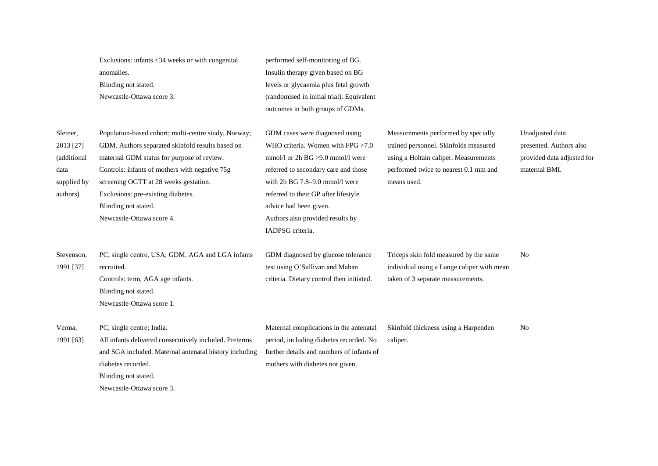|                                                                         | Exclusions: infants <34 weeks or with congenital<br>anomalies.<br>Blinding not stated.<br>Newcastle-Ottawa score 3.                                                                                                                                                                                                                          | performed self-monitoring of BG.<br>Insulin therapy given based on BG<br>levels or glycaemia plus fetal growth<br>(randomised in initial trial). Equivalent<br>outcomes in both groups of GDMs.                                                                                                                |                                                                                                                                                                               |                                                                                           |
|-------------------------------------------------------------------------|----------------------------------------------------------------------------------------------------------------------------------------------------------------------------------------------------------------------------------------------------------------------------------------------------------------------------------------------|----------------------------------------------------------------------------------------------------------------------------------------------------------------------------------------------------------------------------------------------------------------------------------------------------------------|-------------------------------------------------------------------------------------------------------------------------------------------------------------------------------|-------------------------------------------------------------------------------------------|
| Sletner,<br>2013 [27]<br>(additional<br>data<br>supplied by<br>authors) | Population-based cohort; multi-centre study, Norway;<br>GDM. Authors separated skinfold results based on<br>maternal GDM status for purpose of review.<br>Controls: infants of mothers with negative 75g<br>screening OGTT at 28 weeks gestation.<br>Exclusions: pre-existing diabetes.<br>Blinding not stated.<br>Newcastle-Ottawa score 4. | GDM cases were diagnosed using<br>WHO criteria. Women with FPG >7.0<br>mmol/l or 2h $BG > 9.0$ mmol/l were<br>referred to secondary care and those<br>with 2h BG 7.8-9.0 mmol/l were<br>referred to their GP after lifestyle<br>advice had been given.<br>Authors also provided results by<br>IADPSG criteria. | Measurements performed by specially<br>trained personnel. Skinfolds measured<br>using a Holtain caliper. Measurements<br>performed twice to nearest 0.1 mm and<br>means used. | Unadjusted data<br>presented. Authors also<br>provided data adjusted for<br>maternal BMI. |
| Stevenson,<br>1991 [37]                                                 | PC; single centre, USA; GDM. AGA and LGA infants<br>recruited.<br>Controls: term, AGA age infants.<br>Blinding not stated.<br>Newcastle-Ottawa score 1.                                                                                                                                                                                      | GDM diagnosed by glucose tolerance<br>test using O'Sullivan and Mahan<br>criteria. Dietary control then initiated.                                                                                                                                                                                             | Triceps skin fold measured by the same<br>individual using a Lange caliper with mean<br>taken of 3 separate measurements.                                                     | N <sub>0</sub>                                                                            |
| Verma,<br>1991 [63]                                                     | PC; single centre; India.<br>All infants delivered consecutively included. Preterms<br>and SGA included. Maternal antenatal history including<br>diabetes recorded.<br>Blinding not stated.<br>Newcastle-Ottawa score 3.                                                                                                                     | Maternal complications in the antenatal<br>period, including diabetes recorded. No<br>further details and numbers of infants of<br>mothers with diabetes not given.                                                                                                                                            | Skinfold thickness using a Harpenden<br>caliper.                                                                                                                              | N <sub>o</sub>                                                                            |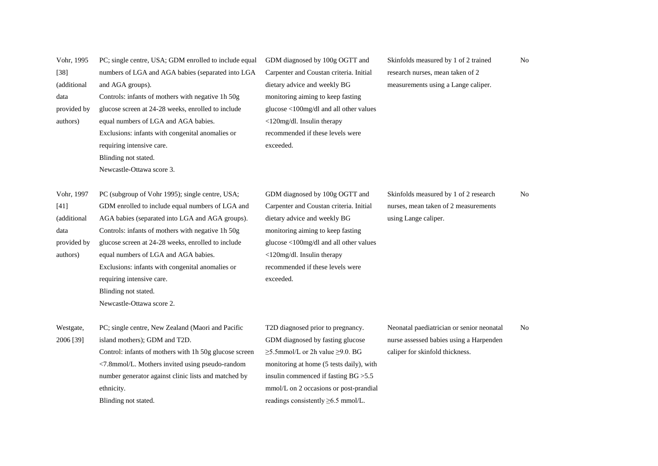| Vohr, 1995<br>$[38]$ | PC; single centre, USA; GDM enrolled to include equal<br>numbers of LGA and AGA babies (separated into LGA | GDM diagnosed by 100g OGTT and<br>Carpenter and Coustan criteria. Initial | Skinfolds measured by 1 of 2 trained<br>research nurses, mean taken of 2 | No  |
|----------------------|------------------------------------------------------------------------------------------------------------|---------------------------------------------------------------------------|--------------------------------------------------------------------------|-----|
| (additional          | and AGA groups).                                                                                           | dietary advice and weekly BG                                              | measurements using a Lange caliper.                                      |     |
| data                 | Controls: infants of mothers with negative 1h 50g                                                          | monitoring aiming to keep fasting                                         |                                                                          |     |
| provided by          | glucose screen at 24-28 weeks, enrolled to include                                                         | glucose <100mg/dl and all other values                                    |                                                                          |     |
| authors)             | equal numbers of LGA and AGA babies.                                                                       | <120mg/dl. Insulin therapy                                                |                                                                          |     |
|                      | Exclusions: infants with congenital anomalies or                                                           | recommended if these levels were                                          |                                                                          |     |
|                      | requiring intensive care.                                                                                  | exceeded.                                                                 |                                                                          |     |
|                      | Blinding not stated.                                                                                       |                                                                           |                                                                          |     |
|                      | Newcastle-Ottawa score 3.                                                                                  |                                                                           |                                                                          |     |
|                      |                                                                                                            |                                                                           |                                                                          |     |
| Vohr, 1997           | PC (subgroup of Vohr 1995); single centre, USA;                                                            | GDM diagnosed by 100g OGTT and                                            | Skinfolds measured by 1 of 2 research                                    | No  |
| $[41]$               | GDM enrolled to include equal numbers of LGA and                                                           | Carpenter and Coustan criteria. Initial                                   | nurses, mean taken of 2 measurements                                     |     |
| (additional          | AGA babies (separated into LGA and AGA groups).                                                            | dietary advice and weekly BG                                              | using Lange caliper.                                                     |     |
| data                 | Controls: infants of mothers with negative 1h 50g                                                          | monitoring aiming to keep fasting                                         |                                                                          |     |
| provided by          | glucose screen at 24-28 weeks, enrolled to include                                                         | glucose <100mg/dl and all other values                                    |                                                                          |     |
| authors)             | equal numbers of LGA and AGA babies.                                                                       | <120mg/dl. Insulin therapy                                                |                                                                          |     |
|                      | Exclusions: infants with congenital anomalies or                                                           | recommended if these levels were                                          |                                                                          |     |
|                      | requiring intensive care.                                                                                  | exceeded.                                                                 |                                                                          |     |
|                      | Blinding not stated.                                                                                       |                                                                           |                                                                          |     |
|                      | Newcastle-Ottawa score 2.                                                                                  |                                                                           |                                                                          |     |
| Westgate,            | PC; single centre, New Zealand (Maori and Pacific                                                          | T2D diagnosed prior to pregnancy.                                         | Neonatal paediatrician or senior neonatal                                | No. |
| 2006 [39]            | island mothers); GDM and T2D.                                                                              | GDM diagnosed by fasting glucose                                          | nurse assessed babies using a Harpenden                                  |     |
|                      | Control: infants of mothers with 1h 50g glucose screen                                                     | $\geq$ 5.5mmol/L or 2h value $\geq$ 9.0. BG                               | caliper for skinfold thickness.                                          |     |
|                      | <7.8mmol/L. Mothers invited using pseudo-random                                                            | monitoring at home (5 tests daily), with                                  |                                                                          |     |
|                      | number generator against clinic lists and matched by                                                       | insulin commenced if fasting BG > 5.5                                     |                                                                          |     |
|                      | ethnicity.                                                                                                 | mmol/L on 2 occasions or post-prandial                                    |                                                                          |     |
|                      | Blinding not stated.                                                                                       | readings consistently $\geq 6.5$ mmol/L.                                  |                                                                          |     |
|                      |                                                                                                            |                                                                           |                                                                          |     |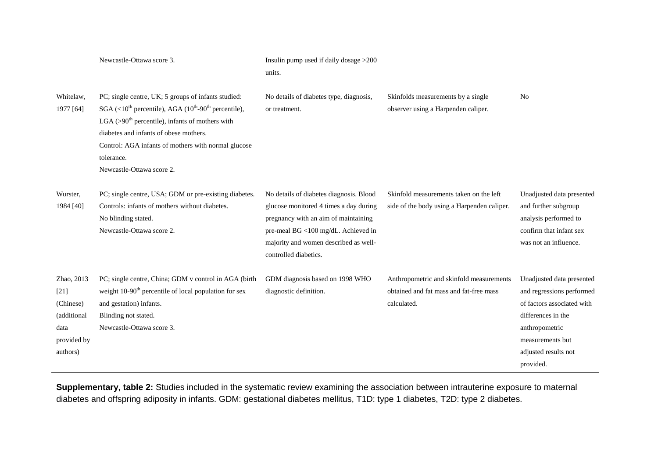|                                                                                     | Newcastle-Ottawa score 3.                                                                                                                                                                                                                                                                                                                          | Insulin pump used if daily dosage >200<br>units.                                                                                                                                                                                   |                                                                                                    |                                                                                                                                                                                       |
|-------------------------------------------------------------------------------------|----------------------------------------------------------------------------------------------------------------------------------------------------------------------------------------------------------------------------------------------------------------------------------------------------------------------------------------------------|------------------------------------------------------------------------------------------------------------------------------------------------------------------------------------------------------------------------------------|----------------------------------------------------------------------------------------------------|---------------------------------------------------------------------------------------------------------------------------------------------------------------------------------------|
| Whitelaw,<br>1977 [64]                                                              | PC; single centre, UK; 5 groups of infants studied:<br>$SGA$ (<10 <sup>th</sup> percentile), AGA (10 <sup>th</sup> -90 <sup>th</sup> percentile),<br>LGA $(>90th$ percentile), infants of mothers with<br>diabetes and infants of obese mothers.<br>Control: AGA infants of mothers with normal glucose<br>tolerance.<br>Newcastle-Ottawa score 2. | No details of diabetes type, diagnosis,<br>or treatment.                                                                                                                                                                           | Skinfolds measurements by a single<br>observer using a Harpenden caliper.                          | N <sub>0</sub>                                                                                                                                                                        |
| Wurster,<br>1984 [40]                                                               | PC; single centre, USA; GDM or pre-existing diabetes.<br>Controls: infants of mothers without diabetes.<br>No blinding stated.<br>Newcastle-Ottawa score 2.                                                                                                                                                                                        | No details of diabetes diagnosis. Blood<br>glucose monitored 4 times a day during<br>pregnancy with an aim of maintaining<br>pre-meal BG <100 mg/dL. Achieved in<br>majority and women described as well-<br>controlled diabetics. | Skinfold measurements taken on the left<br>side of the body using a Harpenden caliper.             | Unadjusted data presented<br>and further subgroup<br>analysis performed to<br>confirm that infant sex<br>was not an influence.                                                        |
| Zhao, 2013<br>$[21]$<br>(Chinese)<br>(additional<br>data<br>provided by<br>authors) | PC; single centre, China; GDM v control in AGA (birth<br>weight 10-90 <sup>th</sup> percentile of local population for sex<br>and gestation) infants.<br>Blinding not stated.<br>Newcastle-Ottawa score 3.                                                                                                                                         | GDM diagnosis based on 1998 WHO<br>diagnostic definition.                                                                                                                                                                          | Anthropometric and skinfold measurements<br>obtained and fat mass and fat-free mass<br>calculated. | Unadjusted data presented<br>and regressions performed<br>of factors associated with<br>differences in the<br>anthropometric<br>measurements but<br>adjusted results not<br>provided. |

**Supplementary, table 2:** Studies included in the systematic review examining the association between intrauterine exposure to maternal diabetes and offspring adiposity in infants. GDM: gestational diabetes mellitus, T1D: type 1 diabetes, T2D: type 2 diabetes.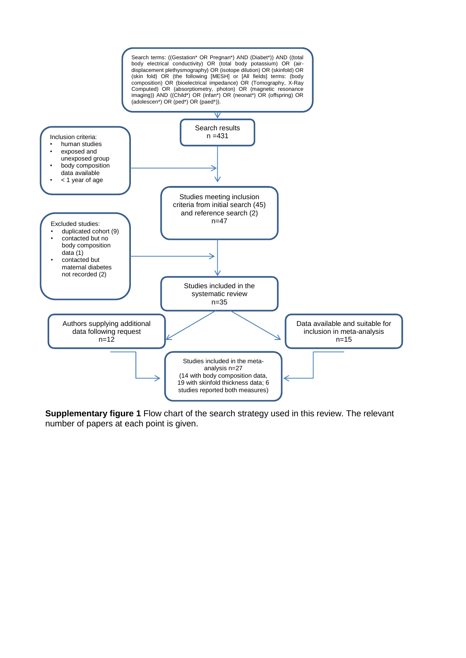

**Supplementary figure 1** Flow chart of the search strategy used in this review. The relevant number of papers at each point is given.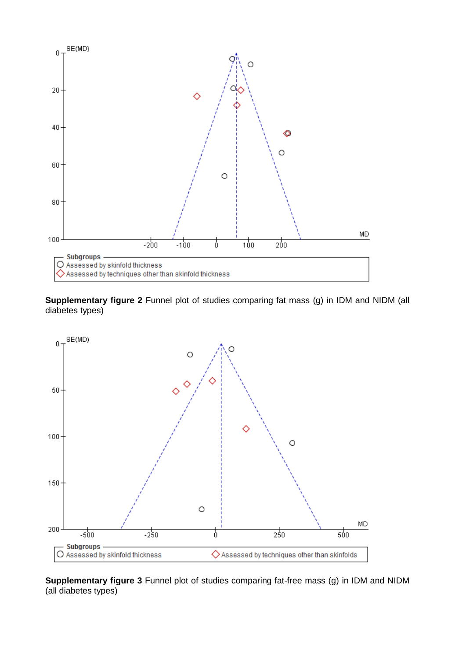

**Supplementary figure 2** Funnel plot of studies comparing fat mass (g) in IDM and NIDM (all diabetes types)



**Supplementary figure 3** Funnel plot of studies comparing fat-free mass (g) in IDM and NIDM (all diabetes types)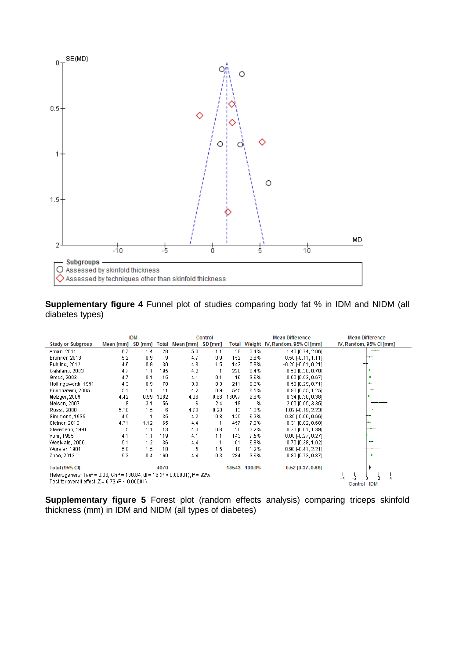

**Supplementary figure 4** Funnel plot of studies comparing body fat % in IDM and NIDM (all diabetes types)

|                                                                                                                |           | <b>IDM</b><br><b>Control</b> |      |                         |      |       |              | <b>Mean Difference</b>               | <b>Mean Difference</b>  |
|----------------------------------------------------------------------------------------------------------------|-----------|------------------------------|------|-------------------------|------|-------|--------------|--------------------------------------|-------------------------|
| <b>Study or Subgroup</b>                                                                                       | Mean [mm] | SD [mm]                      |      | Total Mean [mm] SD [mm] |      |       |              | Total Weight IV, Random, 95% CI [mm] | IV, Random, 95% CI [mm] |
| Aman, 2011                                                                                                     | 6.7       | 1.4                          | 28   | 5.3                     | 1.1  | 28    | 3.4%         | 1.40 [0.74, 2.06]                    |                         |
| Brunner, 2013                                                                                                  | 5.2       | 0.9                          | 9    | 4.7                     | 0.9  | 152   | 3.8%         | $0.50$ [-0.11, 1.11]                 |                         |
| <b>Buhling, 2012</b>                                                                                           | 4.6       | 0.9                          | 30   | 4.8                     | 1.5  | 142   | 5.8%         | $-0.20$ $-0.61$ , $0.211$            |                         |
| Catalano, 2003                                                                                                 | 4.7       | 1.1                          | 195  | 4.2                     |      | 220   | 8.4%         | $0.50$ [0.30, 0.70]                  |                         |
| Greco, 2003                                                                                                    | 4.7       | 0.1                          | 15   | 4.1                     | 0.1  | 16    | 9.6%         | 0.60 [0.53, 0.67]                    |                         |
| Hollingsworth, 1991                                                                                            | 4.3       | 0.9                          | 70   | 3.8                     | 0.3  | 211   | 8.2%         | $0.50$ [0.29, 0.71]                  | ۰                       |
| Krishnaveni, 2005                                                                                              | 5.1       | 1.1                          | 41   | 4.2                     | 0.9  | 545   | 6.5%         | $0.90$ [0.55, 1.25]                  | ۰                       |
| Metzger, 2009                                                                                                  | 4.42      | 0.99                         | 3082 | 4.08                    | 0.86 | 16097 | 9.8%         | $0.34$ [0.30, 0.38]                  |                         |
| Nelson, 2007                                                                                                   | 8         | 3.1                          | 56   | 6                       | 2.4  | 19    | 1.1%         | 2.00 [0.65, 3.35]                    |                         |
| Rossi, 2000                                                                                                    | 5.78      | 1.5                          | 6    | 4.76                    | 0.28 | 13    | 1.3%         | 1.02 [-0.19, 2.23]                   |                         |
| Simmons, 1995                                                                                                  | 4.5       |                              | 35   | 4.2                     | 0.8  | 125   | 6.3%         | $0.30$ [ $-0.06, 0.66$ ]             |                         |
| Sletner, 2013                                                                                                  | 4.71      | 1.12                         | 65   | 4.4                     |      | 457   | 7.3%         | $0.31$ [0.02, 0.60]                  |                         |
| Stevenson, 1991                                                                                                | 5         | 1.1                          | 13   | 4.3                     | 0.8  | 20    | 3.2%         | $0.70$ [0.01, 1.39]                  |                         |
| Vohr, 1995                                                                                                     | 4.1       | 1.1                          | 119  | 4.1                     | 1.1  | 143.  | 7.5%         | $0.00$ [ $-0.27, 0.27$ ]             |                         |
| Westgate, 2006                                                                                                 | 5.1       | 1.2                          | 136  | 4.4                     |      | 61    | 6.8%         | $0.70$ [0.38, 1.02]                  |                         |
| Wurster, 1984                                                                                                  | 5.9       | 1.5                          | 10   | 5                       | 1.5  | 10    | 1.2%         | $0.90$ $[-0.41, 2.21]$               |                         |
| Zhao, 2013                                                                                                     | 5.2       | 0.4                          | 160  | 4.4                     | 0.3  | 284   | 9.6%         | $0.80$ [0.73, 0.87]                  |                         |
|                                                                                                                |           |                              |      |                         |      |       |              |                                      |                         |
| <b>Total (95% CI)</b>                                                                                          |           |                              | 4070 |                         |      |       | 18543 100.0% | $0.52$ [0.37, 0.68]                  |                         |
| Heterogeneity: Tau <sup>2</sup> = 0.06; Chi <sup>2</sup> = 188.84, df = 16 (P < 0.00001); i <sup>2</sup> = 92% |           |                              |      |                         |      |       |              |                                      |                         |
| Test for overall effect: $Z = 6.79$ (P < 0.00001)                                                              |           |                              |      |                         |      |       |              |                                      | <b>IDM</b><br>Control   |

**Supplementary figure 5** Forest plot (random effects analysis) comparing triceps skinfold thickness (mm) in IDM and NIDM (all types of diabetes)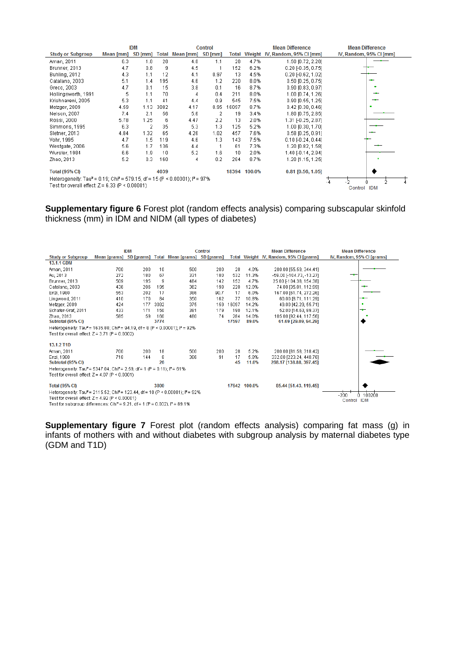|                                                                                                                |           | <b>IDM</b><br><b>Control</b> |              |                   |      |       | <b>Mean Difference</b> | <b>Mean Difference</b>         |                         |
|----------------------------------------------------------------------------------------------------------------|-----------|------------------------------|--------------|-------------------|------|-------|------------------------|--------------------------------|-------------------------|
| <b>Study or Subgroup</b>                                                                                       | Mean [mm] | SD [mm]                      | <b>Total</b> | Mean [mm] SD [mm] |      | Total |                        | Weight IV, Random, 95% CI [mm] | IV, Random, 95% CI [mm] |
| Aman, 2011                                                                                                     | 6.3       | 1.8                          | 28           | 4.8               | 1.1  | 28    | 4.7%                   | 1.50 [0.72, 2.28]              |                         |
| Brunner, 2013                                                                                                  | 4.7       | 0.8                          | 9            | 4.5               |      | 152   | 6.2%                   | $0.20$ [-0.35, 0.75]           |                         |
| Buhling, 2012                                                                                                  | 4.3       | 1.1                          | 12           | 4.1               | 0.97 | 13    | 4.5%                   | $0.20$ F $0.62$ , 1.021        |                         |
| Catalano, 2003                                                                                                 | 5.1       | 1.4                          | 195          | 4.6               | 1.2  | 220   | 8.0%                   | $0.50$ [0.25, 0.75]            |                         |
| Greco, 2003                                                                                                    | 4.7       | 0.1                          | 15           | 3.8               | 0.1  | 16    | 8.7%                   | 0.90 [0.83, 0.97]              |                         |
| Hollingsworth, 1991                                                                                            | 5         | 1.1                          | 70           | 4                 | 0.4  | 211   | 8.0%                   | 1.00 [0.74, 1.26]              |                         |
| Krishnaveni, 2005                                                                                              | 5.3       | 1.1                          | 41           | 4.4               | 0.9  | 545   | 7.5%                   | 0.90 [0.55, 1.25]              |                         |
| Metzger, 2009                                                                                                  | 4.59      | 1.13                         | 3082         | 4.17              | 0.95 | 16097 | 8.7%                   | $0.42$ [0.38, 0.46]            |                         |
| Nelson, 2007                                                                                                   | 7.4       | 2.1                          | 56           | 5.6               | 2    | 19    | 3.4%                   | 1.80 [0.75, 2.85]              |                         |
| Rossi, 2000                                                                                                    | 5.78      | 1.25                         | 6            | 4.47              | 2.2  | 13    | 2.0%                   | 1.31 [-0.25, 2.87]             |                         |
| Simmons, 1995                                                                                                  | 6.3       | $\overline{2}$               | 35           | 5.3               | 1.3  | 125   | 5.2%                   | 1.00 [0.30, 1.70]              |                         |
| Sletner, 2013                                                                                                  | 4.84      | 1.32                         | 65           | 4.26              | 1.02 | 457   | 7.6%                   | $0.58$ $[0.25, 0.91]$          |                         |
| Vohr, 1995                                                                                                     | 4.7       | 1.5                          | 119          | 4.6               | 1.3  | 143   | 7.5%                   | $0.10$ [-0.24, 0.44]           |                         |
| Westgate, 2006                                                                                                 | 5.6       | 1.7                          | 136          | 4.4               |      | 61    | 7.3%                   | 1.20 [0.82, 1.58]              |                         |
| Wurster, 1984                                                                                                  | 6.6       | 1.9                          | 10           | 5.2               | 1.6  | 10    | 2.0%                   | 1.40 [-0.14, 2.94]             |                         |
| Zhao, 2013                                                                                                     | 5.2       | 0.3                          | 160          | 4                 | 0.2  | 284   | 8.7%                   | 1.20 [1.15, 1.25]              |                         |
|                                                                                                                |           |                              |              |                   |      |       |                        |                                |                         |
| <b>Total (95% CI)</b>                                                                                          |           |                              | 4039         |                   |      |       | 18394 100.0%           | $0.81$ [0.56, 1.05]            |                         |
| Heterogeneity: Tau <sup>2</sup> = 0.19; Chi <sup>2</sup> = 579.15, df = 15 (P < 0.00001); i <sup>2</sup> = 97% |           |                              |              |                   |      |       |                        |                                |                         |
| Test for overall effect: $Z = 6.33$ (P < 0.00001)<br>Control IDM                                               |           |                              |              |                   |      |       |                        |                                |                         |

**Supplementary figure 6** Forest plot (random effects analysis) comparing subscapular skinfold thickness (mm) in IDM and NIDM (all types of diabetes)

|                                                                                                                   |     | <b>IDM</b> |                                     | <b>Control</b>                                        | <b>Mean Difference</b> |       |              | <b>Mean Difference</b>                  |                            |  |
|-------------------------------------------------------------------------------------------------------------------|-----|------------|-------------------------------------|-------------------------------------------------------|------------------------|-------|--------------|-----------------------------------------|----------------------------|--|
| <b>Study or Subgroup</b>                                                                                          |     |            |                                     | Mean [grams] SD [grams] Total Mean [grams] SD [grams] |                        |       |              | Total Weight IV, Random, 95% CI [grams] | IV, Random, 95% CI [grams] |  |
| 13.1.1 GDM                                                                                                        |     |            |                                     |                                                       |                        |       |              |                                         |                            |  |
| Aman, 2011                                                                                                        | 700 | 200        | 10                                  | 500                                                   | 200                    | 28    | 4.0%         | 200.00 [55.59, 344.41]                  |                            |  |
| Au, 2013                                                                                                          | 272 | 180        | 67                                  | 331                                                   | 180                    | 532   | 11.3%        | -59.00 [-104.73, -13.27]                | —                          |  |
| Brunner, 2013                                                                                                     | 509 | 195        | 9                                   | 484                                                   | 142                    | 152   | 4.7%         | 25.00 [-104.38, 154.38]                 |                            |  |
| Catalano, 2003                                                                                                    | 436 | 206        | 195                                 | 362                                                   | 198                    | 220   | 12.0%        | 74.00 [35.01, 112.99]                   |                            |  |
| Enzi, 1980                                                                                                        | 553 | 202        | 17                                  | 386                                                   | 90.7                   | 17    | 6.0%         | 167.00 [61.74, 272.26]                  |                            |  |
| Lingwood, 2011                                                                                                    | 410 | 170        | 84                                  | 350                                                   | 162                    | 77    | 10.8%        | 60.00 [8.71, 111.29]                    | -                          |  |
| Metzger, 2009                                                                                                     | 424 | 177        | 3082                                | 375                                                   | 159                    | 16097 | 14.2%        | 49.00 [42.29, 55.71]                    | ٠                          |  |
| Schafer-Graf, 2011                                                                                                | 433 | 171        | 150                                 | 381                                                   | 179                    | 190   | 12.1%        | 52.00 [14.63, 89.37]                    | -                          |  |
| Zhao, 2013                                                                                                        | 585 | 59         | 160                                 | 480                                                   | 74                     | 284   | 14.0%        | 105.00 [92.44, 117.56]                  |                            |  |
| Subtotal (95% CI)                                                                                                 |     |            | 3774                                |                                                       |                        | 17597 | 89.0%        | 61.69 [29.09, 94.29]                    |                            |  |
| Heterogeneity: Tau <sup>2</sup> = 1635.80; Chi <sup>2</sup> = 94.19, df = 8 (P < 0.00001); i <sup>2</sup> = 92%   |     |            |                                     |                                                       |                        |       |              |                                         |                            |  |
| Test for overall effect: $Z = 3.71$ (P = 0.0002)                                                                  |     |            |                                     |                                                       |                        |       |              |                                         |                            |  |
|                                                                                                                   |     |            |                                     |                                                       |                        |       |              |                                         |                            |  |
| 13.1.2 T <sub>1</sub> D                                                                                           |     |            |                                     |                                                       |                        |       |              |                                         |                            |  |
| Aman, 2011                                                                                                        | 700 | 200        | 18                                  | 500                                                   | 200                    | 28    | 5.2%         | 200.00 [81.58, 318.42]                  |                            |  |
| Enzi, 1980                                                                                                        | 718 | 144        | 8                                   | 386                                                   | 91                     | 17    | 5.8%         | 332.00 [223.24, 440.76]                 |                            |  |
| Subtotal (95% CI)                                                                                                 |     |            | 26                                  |                                                       |                        | 45    | 11.0%        | 268.17 [138.88, 397.45]                 |                            |  |
| Heterogeneity: Tau <sup>2</sup> = 5347.04; Chi <sup>2</sup> = 2.59, df = 1 (P = 0.11); $P = 61\%$                 |     |            |                                     |                                                       |                        |       |              |                                         |                            |  |
| Test for overall effect: $Z = 4.07$ (P < 0.0001)                                                                  |     |            |                                     |                                                       |                        |       |              |                                         |                            |  |
|                                                                                                                   |     |            |                                     |                                                       |                        |       |              |                                         |                            |  |
| <b>Total (95% CI)</b>                                                                                             |     |            | 3800                                |                                                       |                        |       | 17642 100.0% | 85.44 [51.43, 119.45]                   |                            |  |
| Heterogeneity: Tau <sup>2</sup> = 2115.52; Chi <sup>2</sup> = 123.44, df = 10 (P < 0.00001); i <sup>2</sup> = 92% |     |            |                                     |                                                       |                        |       |              | 100200                                  |                            |  |
| Test for overall effect: $Z = 4.92$ (P < 0.00001)                                                                 |     |            | -200<br>n.<br>Control<br><b>IDM</b> |                                                       |                        |       |              |                                         |                            |  |
| Test for subgroup differences: Chi <sup>2</sup> = 9.21, df = 1 (P = 0.002), $P = 89.1\%$                          |     |            |                                     |                                                       |                        |       |              |                                         |                            |  |

**Supplementary figure 7** Forest plot (random effects analysis) comparing fat mass (g) in infants of mothers with and without diabetes with subgroup analysis by maternal diabetes type (GDM and T1D)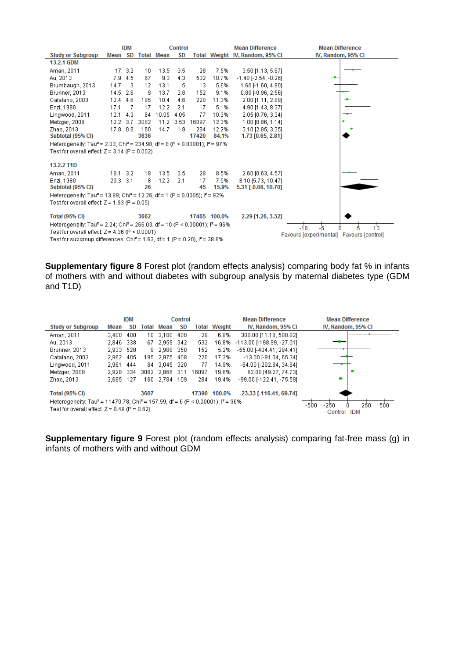

**Supplementary figure 8** Forest plot (random effects analysis) comparing body fat % in infants of mothers with and without diabetes with subgroup analysis by maternal diabetes type (GDM and T1D)

|                                                                                                                                                                     |       | IDM |       | Control       |       |       |                     | <b>Mean Difference</b>        | <b>Mean Difference</b>       |
|---------------------------------------------------------------------------------------------------------------------------------------------------------------------|-------|-----|-------|---------------|-------|-------|---------------------|-------------------------------|------------------------------|
| <b>Study or Subgroup</b>                                                                                                                                            | Mean  | SD. | Total | Mean          | SD    |       | <b>Total Weight</b> | IV, Random, 95% CI            | IV, Random, 95% CI           |
| Aman, 2011                                                                                                                                                          | 3.400 | 400 |       | 10 3.100      | 400   | 28    | 6.8%                | 300.00 [11.18, 588.82]        |                              |
| Au, 2013                                                                                                                                                            | 2,846 | 338 |       | 67 2.959 342  |       | 532   | 16.8%               | -113.00 [-198.99, -27.01]     |                              |
| Brunner, 2013                                                                                                                                                       | 2,933 | 528 |       | 9 2,988 350   |       | 152   | 5.2%                | -55.00 [-404.41, 294.41]      |                              |
| Catalano, 2003                                                                                                                                                      | 2.962 | 405 |       | 195 2.975 408 |       | 220   | 17.3%               | -13.00 [-91.34, 65.34]        |                              |
| Lingwood, 2011                                                                                                                                                      | 2.961 | 444 |       | 84 3.045 320  |       | 77    | 14.9%               | $-84.00$ [-202.84, 34.84]     |                              |
| Metzger, 2009                                                                                                                                                       | 2.928 | 334 |       | 3082 2,866    | - 311 | 16097 | 19.6%               | 62.00 [49.27, 74.73]          |                              |
| Zhao, 2013                                                                                                                                                          | 2.685 | 127 | 160.  | 2.784         | 109   | 284   | 19.4%               | -99.00 [-122.41, -75.59]      | ۰                            |
| <b>Total (95% CI)</b>                                                                                                                                               |       |     | 3607  |               |       |       | 17390 100.0%        | $-23.33$ [ $-116.41$ , 69.74] |                              |
| Heterogeneity: Tau <sup>2</sup> = 11470.78; Chi <sup>2</sup> = 157.59, df = 6 (P < 0.00001); i <sup>2</sup> = 96%<br>Test for overall effect: $Z = 0.49$ (P = 0.62) |       |     |       |               |       |       |                     |                               | 500<br>$-250$<br>250<br>-500 |
|                                                                                                                                                                     |       |     |       |               |       |       |                     |                               | <b>IDM</b><br>Control        |

**Supplementary figure 9** Forest plot (random effects analysis) comparing fat-free mass (g) in infants of mothers with and without GDM